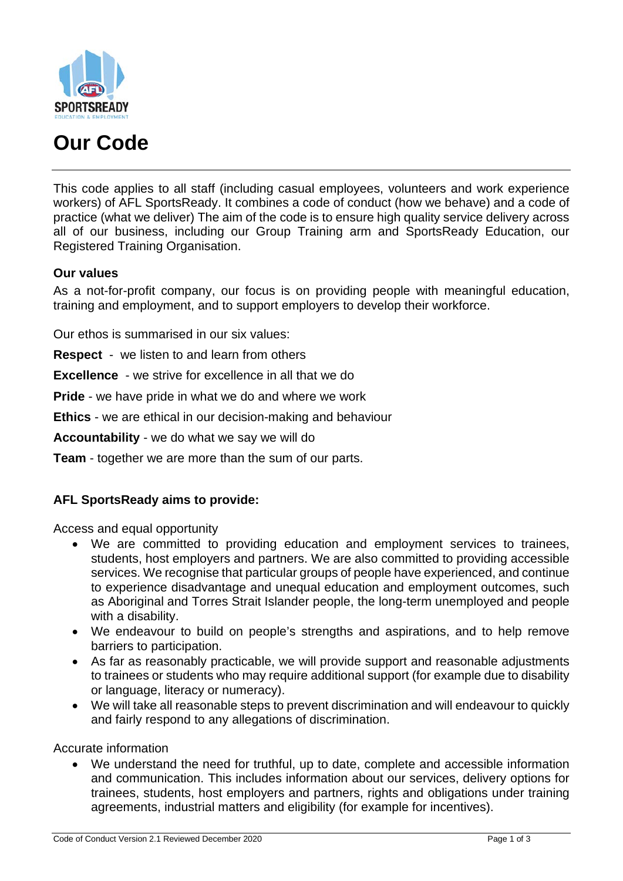

# **Our Code**

This code applies to all staff (including casual employees, volunteers and work experience workers) of AFL SportsReady. It combines a code of conduct (how we behave) and a code of practice (what we deliver) The aim of the code is to ensure high quality service delivery across all of our business, including our Group Training arm and SportsReady Education, our Registered Training Organisation.

### **Our values**

As a not-for-profit company, our focus is on providing people with meaningful education, training and employment, and to support employers to develop their workforce.

Our ethos is summarised in our six values:

**Respect** - we listen to and learn from others

**Excellence** - we strive for excellence in all that we do

**Pride** - we have pride in what we do and where we work

**Ethics** - we are ethical in our decision-making and behaviour

**Accountability** - we do what we say we will do

**Team** - together we are more than the sum of our parts.

#### **AFL SportsReady aims to provide:**

Access and equal opportunity

- We are committed to providing education and employment services to trainees, students, host employers and partners. We are also committed to providing accessible services. We recognise that particular groups of people have experienced, and continue to experience disadvantage and unequal education and employment outcomes, such as Aboriginal and Torres Strait Islander people, the long-term unemployed and people with a disability.
- We endeavour to build on people's strengths and aspirations, and to help remove barriers to participation.
- As far as reasonably practicable, we will provide support and reasonable adjustments to trainees or students who may require additional support (for example due to disability or language, literacy or numeracy).
- We will take all reasonable steps to prevent discrimination and will endeavour to quickly and fairly respond to any allegations of discrimination.

Accurate information

• We understand the need for truthful, up to date, complete and accessible information and communication. This includes information about our services, delivery options for trainees, students, host employers and partners, rights and obligations under training agreements, industrial matters and eligibility (for example for incentives).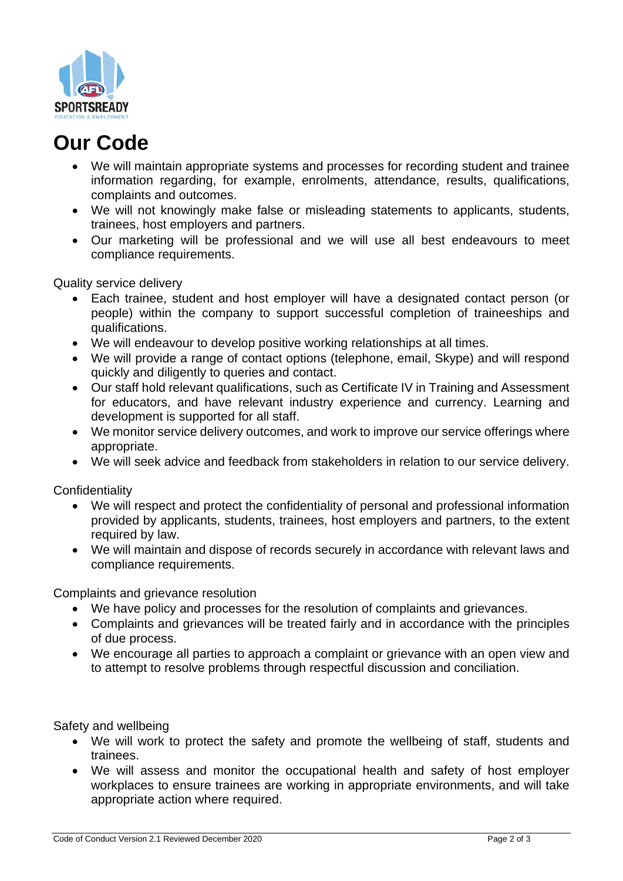

# **Our Code**

- We will maintain appropriate systems and processes for recording student and trainee information regarding, for example, enrolments, attendance, results, qualifications, complaints and outcomes.
- We will not knowingly make false or misleading statements to applicants, students, trainees, host employers and partners.
- Our marketing will be professional and we will use all best endeavours to meet compliance requirements.

Quality service delivery

- Each trainee, student and host employer will have a designated contact person (or people) within the company to support successful completion of traineeships and qualifications.
- We will endeavour to develop positive working relationships at all times.
- We will provide a range of contact options (telephone, email, Skype) and will respond quickly and diligently to queries and contact.
- Our staff hold relevant qualifications, such as Certificate IV in Training and Assessment for educators, and have relevant industry experience and currency. Learning and development is supported for all staff.
- We monitor service delivery outcomes, and work to improve our service offerings where appropriate.
- We will seek advice and feedback from stakeholders in relation to our service delivery.

**Confidentiality** 

- We will respect and protect the confidentiality of personal and professional information provided by applicants, students, trainees, host employers and partners, to the extent required by law.
- We will maintain and dispose of records securely in accordance with relevant laws and compliance requirements.

Complaints and grievance resolution

- We have policy and processes for the resolution of complaints and grievances.
- Complaints and grievances will be treated fairly and in accordance with the principles of due process.
- We encourage all parties to approach a complaint or grievance with an open view and to attempt to resolve problems through respectful discussion and conciliation.

Safety and wellbeing

- We will work to protect the safety and promote the wellbeing of staff, students and trainees.
- We will assess and monitor the occupational health and safety of host employer workplaces to ensure trainees are working in appropriate environments, and will take appropriate action where required.